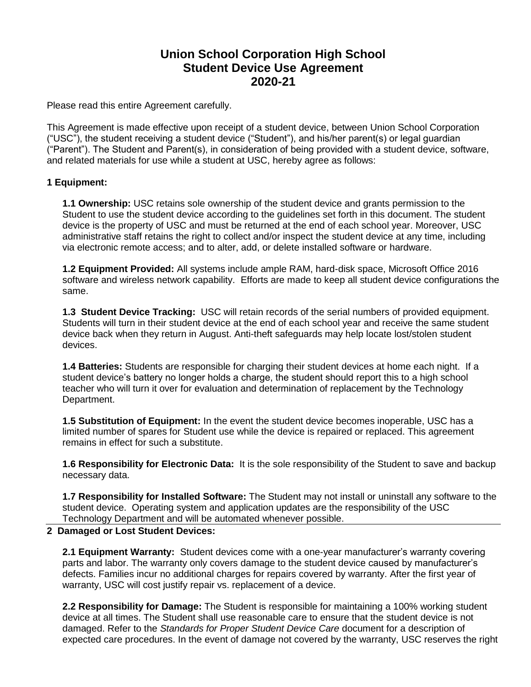## **Union School Corporation High School Student Device Use Agreement 2020-21**

Please read this entire Agreement carefully.

This Agreement is made effective upon receipt of a student device, between Union School Corporation ("USC"), the student receiving a student device ("Student"), and his/her parent(s) or legal guardian ("Parent"). The Student and Parent(s), in consideration of being provided with a student device, software, and related materials for use while a student at USC, hereby agree as follows:

## **1 Equipment:**

**1.1 Ownership:** USC retains sole ownership of the student device and grants permission to the Student to use the student device according to the guidelines set forth in this document. The student device is the property of USC and must be returned at the end of each school year. Moreover, USC administrative staff retains the right to collect and/or inspect the student device at any time, including via electronic remote access; and to alter, add, or delete installed software or hardware.

**1.2 Equipment Provided:** All systems include ample RAM, hard-disk space, Microsoft Office 2016 software and wireless network capability. Efforts are made to keep all student device configurations the same.

**1.3 Student Device Tracking:** USC will retain records of the serial numbers of provided equipment. Students will turn in their student device at the end of each school year and receive the same student device back when they return in August. Anti-theft safeguards may help locate lost/stolen student devices.

**1.4 Batteries:** Students are responsible for charging their student devices at home each night. If a student device's battery no longer holds a charge, the student should report this to a high school teacher who will turn it over for evaluation and determination of replacement by the Technology Department.

**1.5 Substitution of Equipment:** In the event the student device becomes inoperable, USC has a limited number of spares for Student use while the device is repaired or replaced. This agreement remains in effect for such a substitute.

**1.6 Responsibility for Electronic Data:** It is the sole responsibility of the Student to save and backup necessary data.

**1.7 Responsibility for Installed Software:** The Student may not install or uninstall any software to the student device. Operating system and application updates are the responsibility of the USC Technology Department and will be automated whenever possible.

## **2 Damaged or Lost Student Devices:**

**2.1 Equipment Warranty:** Student devices come with a one-year manufacturer's warranty covering parts and labor. The warranty only covers damage to the student device caused by manufacturer's defects. Families incur no additional charges for repairs covered by warranty. After the first year of warranty, USC will cost justify repair vs. replacement of a device.

**2.2 Responsibility for Damage:** The Student is responsible for maintaining a 100% working student device at all times. The Student shall use reasonable care to ensure that the student device is not damaged. Refer to the *Standards for Proper Student Device Care* document for a description of expected care procedures. In the event of damage not covered by the warranty, USC reserves the right